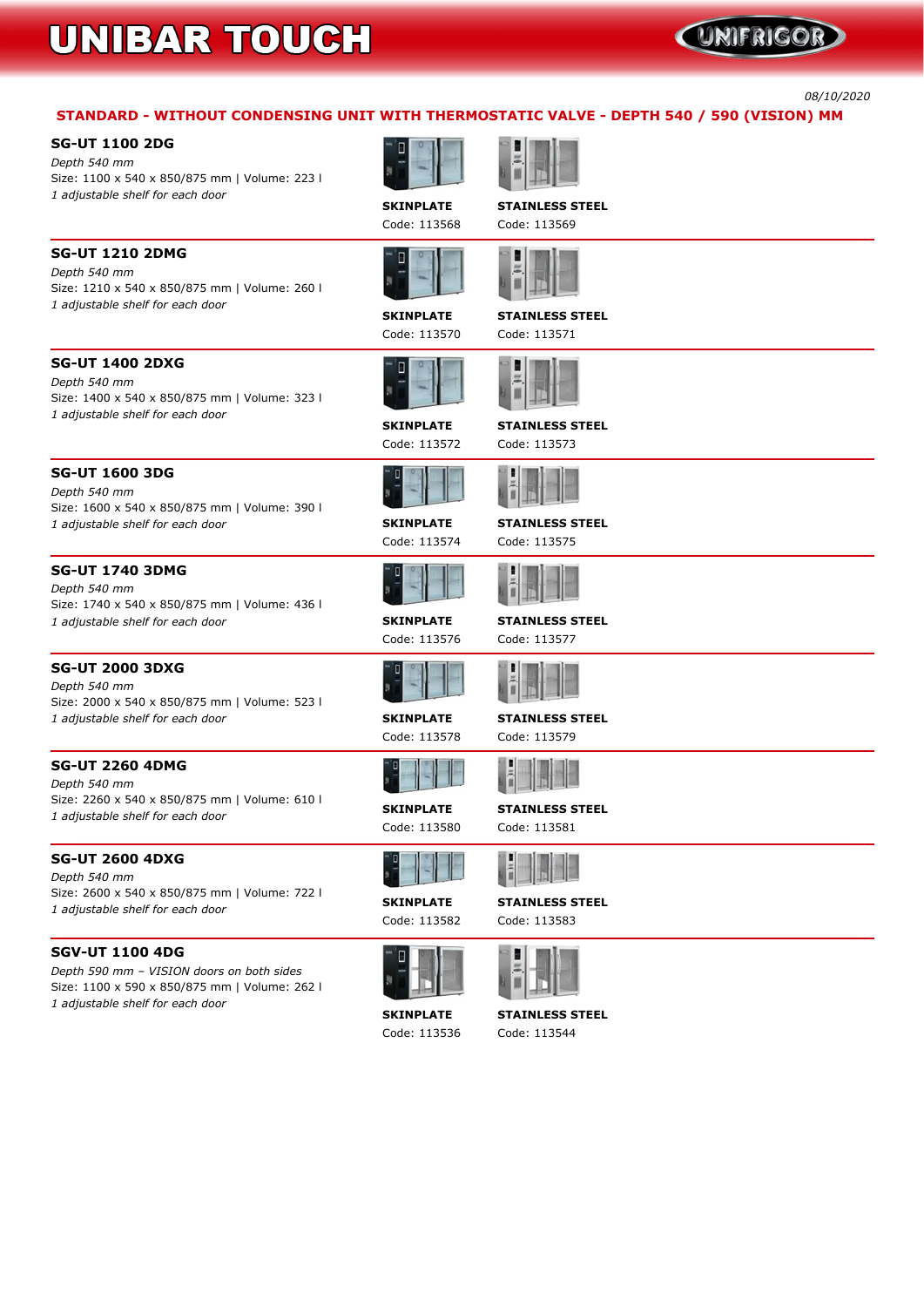# UNIFRIGOR

*08/10/2020*

# **STANDARD - WITHOUT CONDENSING UNIT WITH THERMOSTATIC VALVE - DEPTH 540 / 590 (VISION) MM**

# **SG-UT 1100 2DG**

*Depth 540 mm* **Size: 1100 x 540 x 850/875 mm | Volume: 223 l** *1 adjustable shelf for each door*

**SKINPLATE STAINLESS STEEL Code: 113568 Code: 113569**







**SG-UT 1210 2DMG**

*Depth 540 mm*

**Size: 1210 x 540 x 850/875 mm | Volume: 260 l**



*1 adjustable shelf for each door*

**SKINPLATE STAINLESS STEEL**

**Code: 113570 Code: 113571**

**SG-UT 1400 2DXG** *Depth 540 mm* **Size: 1400 x 540 x 850/875 mm | Volume: 323 l**

*1 adjustable shelf for each door*

**SKINPLATE STAINLESS STEEL**

**Code: 113572 Code: 113573**

## **SG-UT 1600 3DG** *Depth 540 mm*

**Size: 1600 x 540 x 850/875 mm | Volume: 390 l** *1 adjustable shelf for each door* **SKINPLATE STAINLESS STEEL**







## **SG-UT 1740 3DMG**

*Depth 540 mm* **Size: 1740 x 540 x 850/875 mm | Volume: 436 l** *1 adjustable shelf for each door* **SKINPLATE STAINLESS STEEL**

**Code: 113576 Code: 113577**





## **SG-UT 2000 3DXG**

*Depth 540 mm* **Size: 2000 x 540 x 850/875 mm | Volume: 523 l** *1 adjustable shelf for each door* **SKINPLATE STAINLESS STEEL**

**Code: 113578 Code: 113579**



## **SG-UT 2260 4DMG**

*Depth 540 mm* **Size: 2260 x 540 x 850/875 mm | Volume: 610 l** *<sup>1</sup> adjustable shelf for each door* **SKINPLATE STAINLESS STEEL**

**Code: 113580 Code: 113581**



# **SG-UT 2600 4DXG**

*Depth 540 mm* **Size: 2600 x 540 x 850/875 mm | Volume: 722 l** *<sup>1</sup> adjustable shelf for each door* **SKINPLATE STAINLESS STEEL**

**Code: 113582 Code: 113583**



# **SGV-UT 1100 4DG**

*Depth 590 mm – VISION doors on both sides* **Size: 1100 x 590 x 850/875 mm | Volume: 262 l** *1 adjustable shelf for each door*



### **SKINPLATE STAINLESS STEEL**

**Code: 113536 Code: 113544**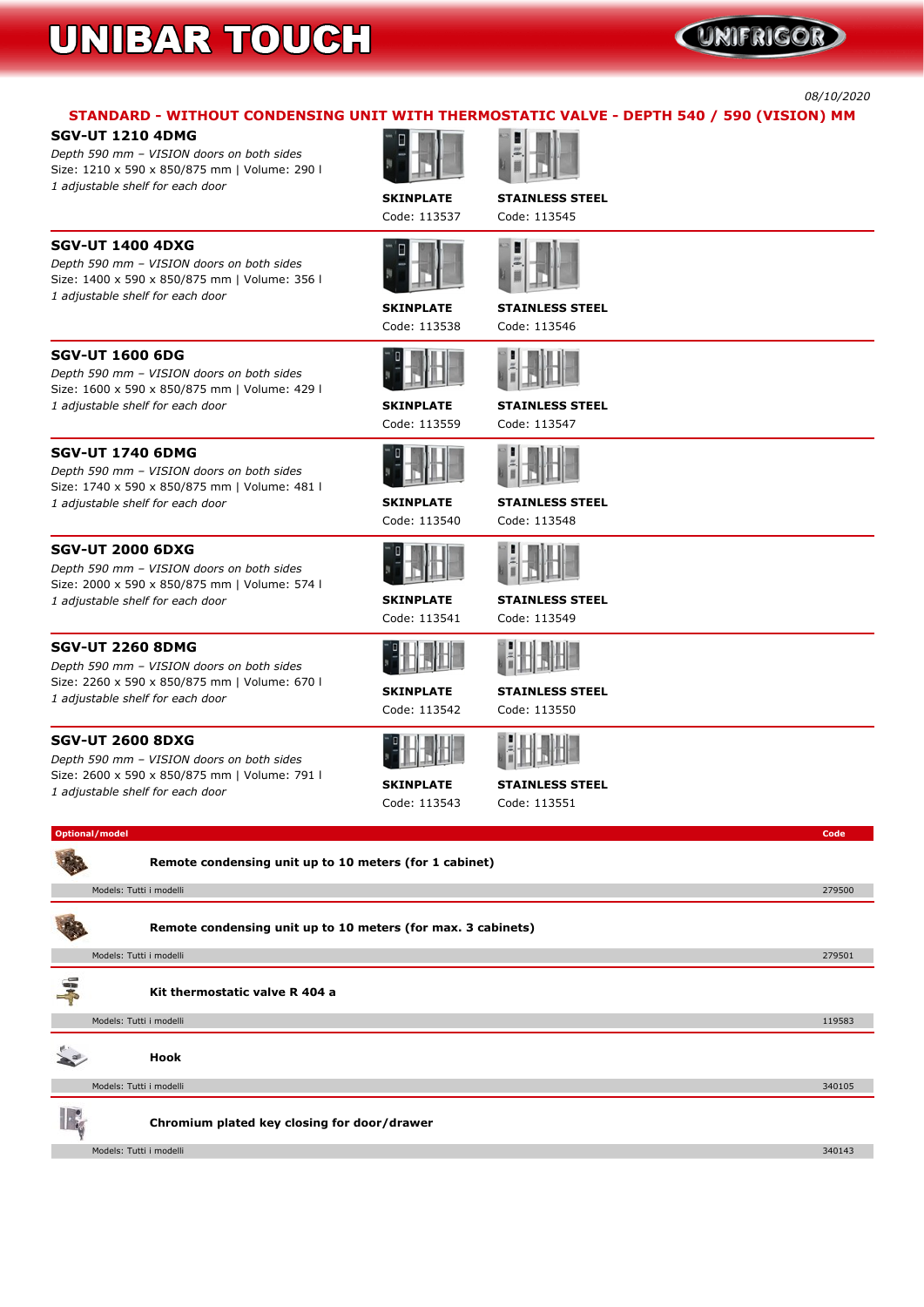# UNIFRIGOR

*08/10/2020*

# **STANDARD - WITHOUT CONDENSING UNIT WITH THERMOSTATIC VALVE - DEPTH 540 / 590 (VISION) MM**

# **SGV-UT 1210 4DMG**

*Depth 590 mm – VISION doors on both sides* **Size: 1210 x 590 x 850/875 mm | Volume: 290 l** *1 adjustable shelf for each door*

**SKINPLATE STAINLESS STEEL Code: 113537 Code: 113545**



**SGV-UT 1400 4DXG**

*Depth 590 mm – VISION doors on both sides* **Size: 1400 x 590 x 850/875 mm | Volume: 356 l**





*1 adjustable shelf for each door*



**SKINPLATE STAINLESS STEEL**

**Code: 113538 Code: 113546**

*Depth 590 mm – VISION doors on both sides* **Size: 1600 x 590 x 850/875 mm | Volume: 429 l** *1 adjustable shelf for each door* **SKINPLATE STAINLESS STEEL**

**Code: 113559 Code: 113547**



# **SGV-UT 1740 6DMG**

*Depth 590 mm – VISION doors on both sides* **Size: 1740 x 590 x 850/875 mm | Volume: 481 l** *1 adjustable shelf for each door* **SKINPLATE STAINLESS STEEL**



### **SGV-UT 2000 6DXG**

*Depth 590 mm – VISION doors on both sides* **Size: 2000 x 590 x 850/875 mm | Volume: 574 l** *1 adjustable shelf for each door* **SKINPLATE STAINLESS STEEL**

**Code: 113541 Code: 113549**



### **SGV-UT 2260 8DMG**

*Depth 590 mm – VISION doors on both sides* **Size: 2260 x 590 x 850/875 mm | Volume: 670 l** *<sup>1</sup> adjustable shelf for each door* **SKINPLATE STAINLESS STEEL**

**Code: 113542 Code: 113550**





## **SGV-UT 2600 8DXG**

*Depth 590 mm – VISION doors on both sides* **Size: 2600 x 590 x 850/875 mm | Volume: 791 l** *<sup>1</sup> adjustable shelf for each door* **SKINPLATE STAINLESS STEEL**

**Code: 113543 Code: 113551**



| Models: Tutti i modelli                     | 119583 |
|---------------------------------------------|--------|
| <b>Hook</b>                                 |        |
| Models: Tutti i modelli                     | 340105 |
| Chromium plated key closing for door/drawer |        |
| Models: Tutti i modelli                     | 340143 |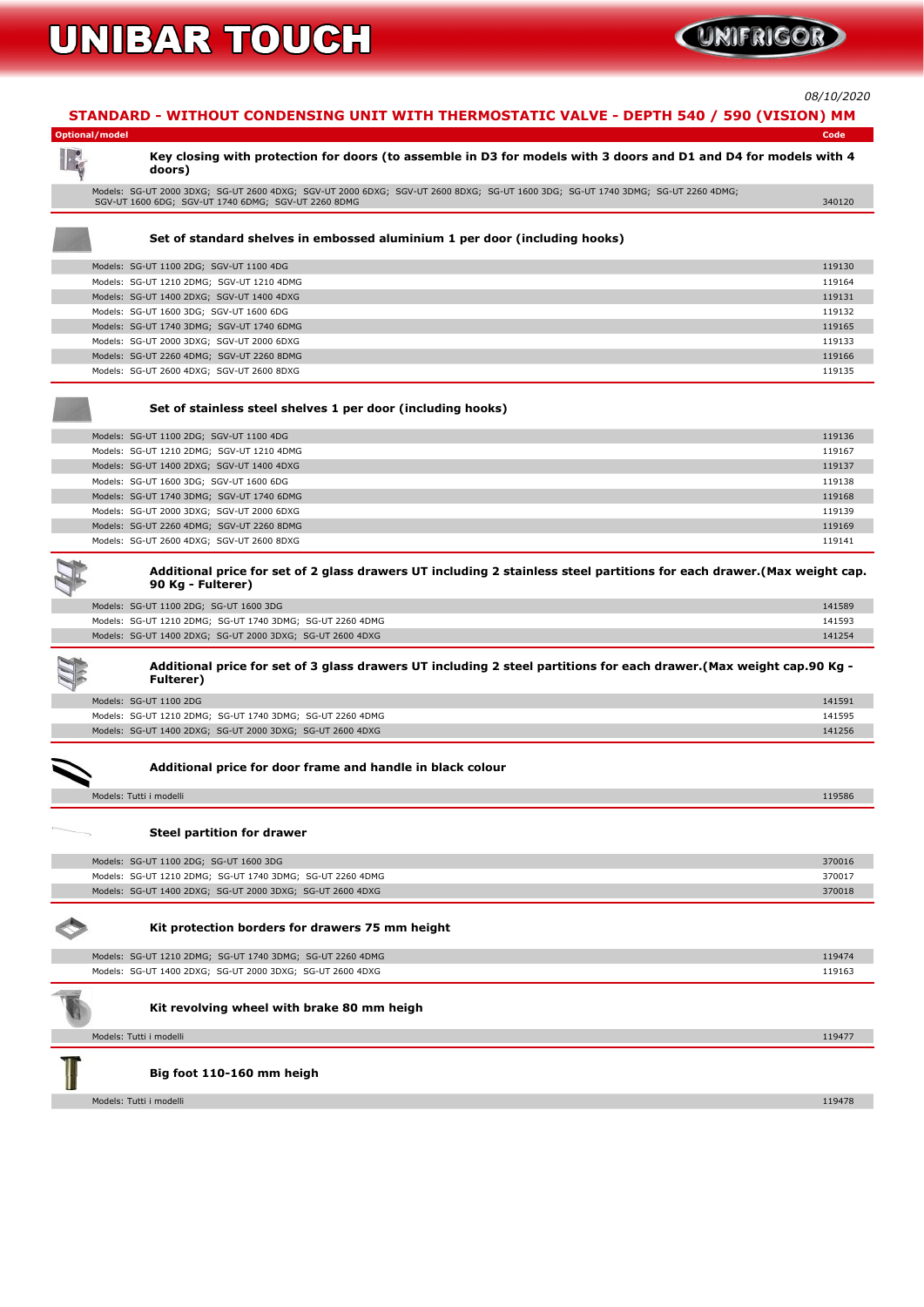

*08/10/2020*

### **STANDARD - WITHOUT CONDENSING UNIT WITH THERMOSTATIC VALVE - DEPTH 540 / 590 (VISION) MM**

### **Optional/model Code**

### Key closing with protection for doors (to assemble in D3 for models with 3 doors and D1 and D4 for models with 4 **doors)**

**Models: SG-UT 2000 3DXG; SG-UT 2600 4DXG; SGV-UT 2000 6DXG; SGV-UT 2600 8DXG; SG-UT 1600 3DG; SG-UT 1740 3DMG; SG-UT 2260 4DMG; SGV-UT 1600 6DG; SGV-UT 1740 6DMG; SGV-UT 2260 8DMG 340120**

### **Set of standard shelves in embossed aluminium 1 per door (including hooks)**

| Models: SG-UT 1100 2DG; SGV-UT 1100 4DG   | 119130 |
|-------------------------------------------|--------|
| Models: SG-UT 1210 2DMG; SGV-UT 1210 4DMG | 119164 |
| Models: SG-UT 1400 2DXG; SGV-UT 1400 4DXG | 119131 |
| Models: SG-UT 1600 3DG; SGV-UT 1600 6DG   | 119132 |
| Models: SG-UT 1740 3DMG; SGV-UT 1740 6DMG | 119165 |
| Models: SG-UT 2000 3DXG; SGV-UT 2000 6DXG | 119133 |
| Models: SG-UT 2260 4DMG; SGV-UT 2260 8DMG | 119166 |
| Models: SG-UT 2600 4DXG; SGV-UT 2600 8DXG | 119135 |
|                                           |        |

### Additional price for set of 2 glass drawers UT including 2 stainless steel partitions for each drawer. (Max weight cap. **90 Kg - Fulterer)**

### Additional price for set of 3 glass drawers UT including 2 steel partitions for each drawer. (Max weight cap.90 Kg -**Fulterer)**

### **Set of stainless steel shelves 1 per door (including hooks)**

| Models: SG-UT 1100 2DG; SGV-UT 1100 4DG   | 119136 |
|-------------------------------------------|--------|
| Models: SG-UT 1210 2DMG; SGV-UT 1210 4DMG | 119167 |
| Models: SG-UT 1400 2DXG; SGV-UT 1400 4DXG | 119137 |
| Models: SG-UT 1600 3DG; SGV-UT 1600 6DG   | 119138 |
| Models: SG-UT 1740 3DMG; SGV-UT 1740 6DMG | 119168 |
| Models: SG-UT 2000 3DXG; SGV-UT 2000 6DXG | 119139 |
| Models: SG-UT 2260 4DMG; SGV-UT 2260 8DMG | 119169 |
| Models: SG-UT 2600 4DXG; SGV-UT 2600 8DXG | 119141 |



| Models: SG-UT 1100 2DG; SG-UT 1600 3DG                    | 141589 |
|-----------------------------------------------------------|--------|
| Models: SG-UT 1210 2DMG; SG-UT 1740 3DMG; SG-UT 2260 4DMG | 141593 |
| Models: SG-UT 1400 2DXG; SG-UT 2000 3DXG; SG-UT 2600 4DXG | 141254 |
|                                                           |        |



 $\lambda$ 

| Models: SG-UT 1100 2DG                                    | 141591 |
|-----------------------------------------------------------|--------|
| Models: SG-UT 1210 2DMG; SG-UT 1740 3DMG; SG-UT 2260 4DMG | 141595 |
| Models: SG-UT 1400 2DXG; SG-UT 2000 3DXG; SG-UT 2600 4DXG | 141256 |

### **Additional price for door frame and handle in black colour**

| Models: Tutti i modelli | 19586 |
|-------------------------|-------|
|                         |       |

#### **Steel partition for drawer**

| Models: SG-UT 1100 2DG; SG-UT 1600 3DG                    | 370016 |
|-----------------------------------------------------------|--------|
| Models: SG-UT 1210 2DMG; SG-UT 1740 3DMG; SG-UT 2260 4DMG | 370017 |
| Models: SG-UT 1400 2DXG; SG-UT 2000 3DXG; SG-UT 2600 4DXG | 370018 |

#### **Kit protection borders for drawers 75 mm height**

| Models: SG-UT 1210 2DMG; SG-UT 1740 3DMG; SG-UT 2260 4DMG | 119474 |
|-----------------------------------------------------------|--------|
| Models: SG-UT 1400 2DXG; SG-UT 2000 3DXG; SG-UT 2600 4DXG | 119163 |



### **Kit revolving wheel with brake 80 mm heigh**

| Models: Tutti i modelli   | 119477 |
|---------------------------|--------|
| Big foot 110-160 mm heigh |        |
| Models: Tutti i modelli   | 119478 |